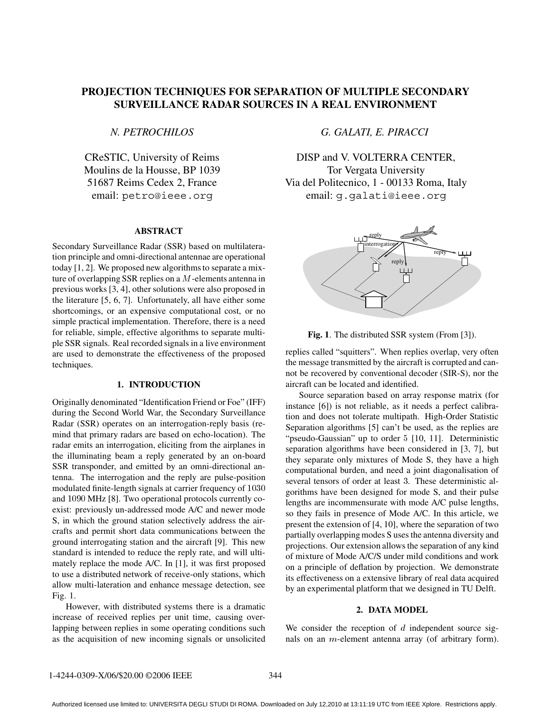# **PROJECTION TECHNIQUES FOR SEPARATION OF MULTIPLE SECONDARY SURVEILLANCE RADAR SOURCES IN A REAL ENVIRONMENT**

*N. PETROCHILOS*

CReSTIC, University of Reims Moulins de la Housse, BP 1039 51687 Reims Cedex 2, France email: petro@ieee.org

# **ABSTRACT**

Secondary Surveillance Radar (SSR) based on multilateration principle and omni-directional antennae are operational today [1, 2]. We proposed new algorithms to separate a mixture of overlapping SSR replies on a  $M$ -elements antenna in previous works [3, 4], other solutions were also proposed in the literature [5, 6, 7]. Unfortunately, all have either some shortcomings, or an expensive computational cost, or no simple practical implementation. Therefore, there is a need for reliable, simple, effective algorithms to separate multiple SSR signals. Real recorded signals in a live environment are used to demonstrate the effectiveness of the proposed techniques.

#### **1. INTRODUCTION**

Originally denominated "Identification Friend or Foe" (IFF) during the Second World War, the Secondary Surveillance Radar (SSR) operates on an interrogation-reply basis (remind that primary radars are based on echo-location). The radar emits an interrogation, eliciting from the airplanes in the illuminating beam a reply generated by an on-board SSR transponder, and emitted by an omni-directional antenna. The interrogation and the reply are pulse-position modulated finite-length signals at carrier frequency of 1030 and  $1090$  MHz [8]. Two operational protocols currently coexist: previously un-addressed mode A/C and newer mode S, in which the ground station selectively address the aircrafts and permit short data communications between the ground interrogating station and the aircraft [9]. This new standard is intended to reduce the reply rate, and will ultimately replace the mode A/C. In [1], it was first proposed to use a distributed network of receive-only stations, which allow multi-lateration and enhance message detection, see Fig. 1.

However, with distributed systems there is a dramatic increase of received replies per unit time, causing overlapping between replies in some operating conditions such as the acquisition of new incoming signals or unsolicited *G. GALATI, E. PIRACCI*

DISP and V. VOLTERRA CENTER, Tor Vergata University Via del Politecnico, 1 - 00133 Roma, Italy email: g.galati@ieee.org



**Fig. 1**. The distributed SSR system (From [3]).

replies called "squitters". When replies overlap, very often the message transmitted by the aircraft is corrupted and cannot be recovered by conventional decoder (SIR-S), nor the aircraft can be located and identified.

gorithms have been designed for mode  $S$ , and their pulse Source separation based on array response matrix (for instance [6]) is not reliable, as it needs a perfect calibration and does not tolerate multipath. High-Order Statistic Separation algorithms [5] can't be used, as the replies are "pseudo-Gaussian" up to order 5 [10, 11]. Deterministic separation algorithms have been considered in [3, 7], but they separate only mixtures of Mode S, they have a high computational burden, and need a joint diagonalisation of several tensors of order at least 3. These deterministic allengths are incommensurate with mode A/C pulse lengths, so they fails in presence of Mode A/C. In this article, we present the extension of [4, 10], where the separation of two partially overlapping modes S uses the antenna diversity and projections. Our extension allows the separation of any kind of mixture of Mode A/C/S under mild conditions and work on a principle of deflation by projection. We demonstrate its effectiveness on a extensive library of real data acquired by an experimental platform that we designed in TU Delft.

#### **2. DATA MODEL**

We consider the reception of  $d$  independent source signals on an  $m$ -element antenna array (of arbitrary form).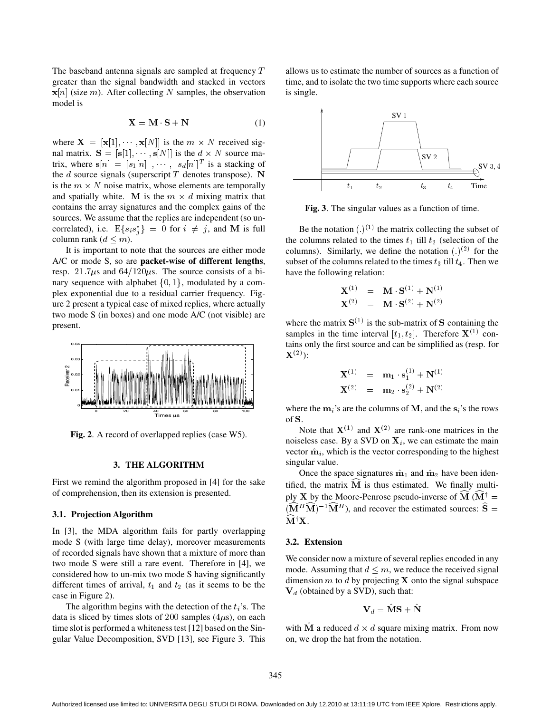The baseband antenna signals are sampled at frequency  $T$ greater than the signal bandwidth and stacked in vectors  $\mathbf{x}[n]$  (size m). After collecting N samples, the observation model is

$$
X = M \cdot S + N \tag{1}
$$

where  $X = [x[1], \dots, x[N]]$  is the  $m \times N$  received signal matrix.  $S = [s[1], \cdots, s[N]]$  is the  $d \times N$  source matrix, where  $s[n] = [s_1[n], \dots, s_d[n]]^T$  is a stacking of the  $d$  source signals (superscript  $T$  denotes transpose). N is the  $m \times N$  noise matrix, whose elements are temporally and spatially white. M is the  $m \times d$  mixing matrix that contains the array signatures and the complex gains of the sources. We assume that the replies are independent (so uncorrelated), i.e.  $E\{s_i s_j^*\} = 0$  for  $i \neq j$ , and M is full Be column rank ( $d \leq m$ ).

It is important to note that the sources are either mode A/C or mode S, so are **packet-wise of different lengths**, resp. 21.7 $\mu$ s and 64/120 $\mu$ s. The source consists of a binary sequence with alphabet  $\{0, 1\}$ , modulated by a complex exponential due to a residual carrier frequency. Figure 2 present a typical case of mixed replies, where actually two mode S (in boxes) and one mode A/C (not visible) are present.



**Fig. 2**. A record of overlapped replies (case W5).

# **3. THE ALGORITHM**

First we remind the algorithm proposed in [4] for the sake of comprehension, then its extension is presented.

#### **3.1. Projection Algorithm**

In [3], the MDA algorithm fails for partly overlapping mode S (with large time delay), moreover measurements of recorded signals have shown that a mixture of more than two mode S were still a rare event. Therefore in [4], we considered how to un-mix two mode S having significantly different times of arrival,  $t_1$  and  $t_2$  (as it seems to be the case in Figure 2).

The algorithm begins with the detection of the  $t_i$ 's. The data is sliced by times slots of 200 samples  $(4\mu s)$ , on each time slot is performed a whiteness test [12] based on the Singular Value Decomposition, SVD [13], see Figure 3. This allows us to estimate the number of sources as a function of time, and to isolate the two time supports where each source is single.



**Fig. 3**. The singular values as a function of time.

Be the notation  $(.)^{(1)}$  the matrix collecting the subset of the columns related to the times  $t_1$  till  $t_2$  (selection of the columns). Similarly, we define the notation  $(.)^{(2)}$  for the subset of the columns related to the times  $t_3$  till  $t_4$ . Then we have the following relation:

$$
\mathbf{X}^{(1)} = \mathbf{M} \cdot \mathbf{S}^{(1)} + \mathbf{N}^{(1)}
$$
  

$$
\mathbf{X}^{(2)} = \mathbf{M} \cdot \mathbf{S}^{(2)} + \mathbf{N}^{(2)}
$$

where the matrix  $S^{(1)}$  is the sub-matrix of S containing the samples in the time interval  $[t_1, t_2]$ . Therefore  $X^{(1)}$  contains only the first source and can be simplified as (resp. for  ${\bf X}^{(2)}$ ):

$$
\mathbf{X}^{(1)} = \mathbf{m}_1 \cdot \mathbf{s}_1^{(1)} + \mathbf{N}^{(1)}
$$

$$
\mathbf{X}^{(2)} = \mathbf{m}_2 \cdot \mathbf{s}_2^{(2)} + \mathbf{N}^{(2)}
$$

where the  $m_i$ 's are the columns of M, and the  $s_i$ 's the rows  $\alpha$ f  $\mathbf{S}$ 

Note that  $X^{(1)}$  and  $X^{(2)}$  are rank-one matrices in the noiseless case. By a SVD on  $X_i$ , we can estimate the main vector  $\hat{\mathbf{m}}_i$ , which is the vector corresponding to the highest singular value.

Once the space signatures  $\hat{\mathbf{m}}_1$  and  $\hat{\mathbf{m}}_2$  have been identified, the matrix  $M$  is thus estimated. We finally multiply X by the Moore-Penrose pseudo-inverse of M ( $M^{\dagger}$  =  $(M^H M)^{-1} M^H$ ), and recover the estimated sources:  $S =$  ${\bf M}^{\dagger}{\bf X}.$ 

#### **3.2. Extension**

We consider now a mixture of several replies encoded in any mode. Assuming that  $d \leq m$ , we reduce the received signal dimension  $m$  to  $d$  by projecting **X** onto the signal subspace  $V_d$  (obtained by a SVD), such that:

$$
\mathbf{V}_d = \mathbf{M}\mathbf{S} + \mathbf{N}
$$

with M a reduced  $d \times d$  square mixing matrix. From now on, we drop the hat from the notation.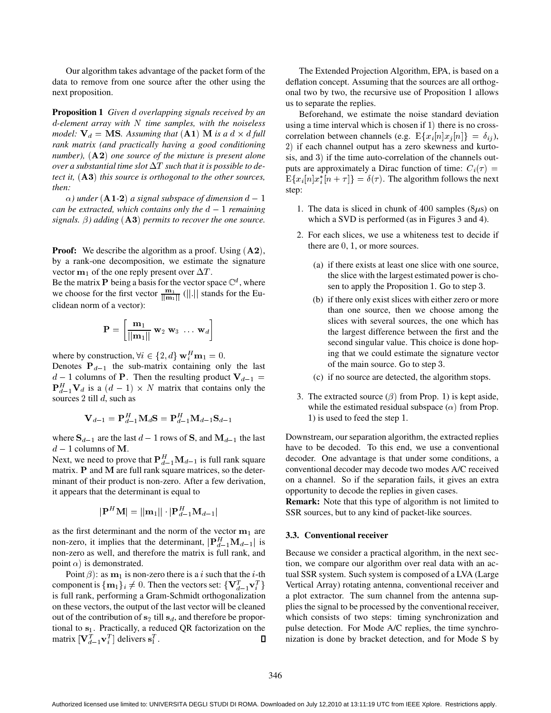Our algorithm takes advantage of the packet form of the data to remove from one source after the other using the next proposition.

**Proposition 1** *Given overlapping signals received by an -element array with time samples, with the noiseless model:*  $V_d = MS$ . Assuming that  $(A1)$  M is a  $d \times d$  full  $\qquad$  con *rank matrix (and practically having a good conditioning number*),  $(A2)$  one source of the mixture is present alone *over a substantial time slot*  $\Delta T$  *such that it is possible to detect it, this source is orthogonal to the other sources, then:*

 $\alpha$ ) under (**A1-2**) a signal subspace of dimension  $d-1$ *can be extracted, which contains only the*  $d-1$  *remaining signals.*  $\beta$ *)* adding  $(A3)$  permits to recover the one source.

**Proof:** We describe the algorithm as a proof. Using  $(A2)$ , by a rank-one decomposition, we estimate the signature vector  $m_1$  of the one reply present over  $\Delta T$ .

Be the matrix P being a basis for the vector space  $\mathbb{C}^d$ , where we choose for the first vector  $\frac{\mathbf{m}_1}{\|\mathbf{m}_1\|}$  (||.|| stands for the Euclidean norm of a vector):

$$
\mathbf{P} = \left[ \frac{\mathbf{m}_1}{||\mathbf{m}_1||} \ \mathbf{w}_2 \ \mathbf{w}_3 \ \dots \ \mathbf{w}_d \right]
$$

where by construction,  $\forall i \in \{2, d\} \mathbf{w}_i^H \mathbf{m}_1 = 0$ .

Denotes  $P_{d-1}$  the sub-matrix containing only the last  $d-1$  columns of P. Then the resulting product  $V_{d-1} =$  ${\bf P}_{d-1}^H{\bf V}_d$  is a  $(d-1)\times N$  matrix that contains only the sources 2 till  $d$ , such as

$$
\mathbf{V}_{d-1} = \mathbf{P}_{d-1}^H \mathbf{M}_d \mathbf{S} = \mathbf{P}_{d-1}^H \mathbf{M}_{d-1} \mathbf{S}_{d-1}
$$

where  $S_{d-1}$  are the last  $d-1$  rows of S, and  $M_{d-1}$  the last  $d-1$  columns of M.

Next, we need to prove that  $P_{d-1}^H \mathbf{M}_{d-1}$  is full rank square matrix.  $P$  and  $M$  are full rank square matrices, so the determinant of their product is non-zero. After a few derivation, it appears that the determinant is equal to

$$
|\mathbf{P}^H \mathbf{M}| = ||\mathbf{m}_1|| \cdot |\mathbf{P}^H_{d-1} \mathbf{M}_{d-1}|
$$

as the first determinant and the norm of the vector  $m_1$  are non-zero, it implies that the determinant,  $|\mathbf{P}_{d-1}^{H} \mathbf{M}_{d-1}|$  is non-zero as well, and therefore the matrix is full rank, and point  $\alpha$ ) is demonstrated.

Point  $\beta$ : as  $m_1$  is non-zero there is a *i* such that the *i*-th component is  $\{ {\bf m}_1 \}_i \neq 0$ . Then the vectors set:  $\{ {\bf V}_{d-1}^T {\bf v}_i^T \}$   $\qquad \,$  V is full rank, performing a Gram-Schmidt orthogonalization on these vectors, the output of the last vector will be cleaned out of the contribution of  $s_2$  till  $s_d$ , and therefore be proportional to  $s_1$ . Practically, a reduced QR factorization on the matrix  $[\mathbf{V}_{d-1}^T \mathbf{v}_i^T]$  delivers  $\mathbf{s}_1^T$ .  $\Box$ 

The Extended Projection Algorithm, EPA, is based on a deflation concept. Assuming that the sources are all orthogonal two by two, the recursive use of Proposition 1 allows us to separate the replies.

Beforehand, we estimate the noise standard deviation using a time interval which is chosen if  $1$ ) there is no crosscorrelation between channels (e.g.  $E\{x_i[n|x_j[n]\} = \delta_{ij}$ ), 2) if each channel output has a zero skewness and kurtosis, and  $3$ ) if the time auto-correlation of the channels outputs are approximately a Dirac function of time:  $C_i(\tau) =$  $E\{x_i[n]x_i^*[n+\tau]\} = \delta(\tau)$ . The algorithm follows the next step:

- 1. The data is sliced in chunk of  $400$  samples ( $8\mu s$ ) on which a SVD is performed (as in Figures 3 and 4).
- 2. For each slices, we use a whiteness test to decide if there are  $0, 1$ , or more sources.
	- (a) if there exists at least one slice with one source, the slice with the largest estimated power is chosen to apply the Proposition 1. Go to step 3.
	- (b) if there only exist slices with either zero or more than one source, then we choose among the slices with several sources, the one which has the largest difference between the first and the second singular value. This choice is done hoping that we could estimate the signature vector of the main source. Go to step 3.
	- (c) if no source are detected, the algorithm stops.
- 3. The extracted source  $(\beta)$  from Prop. 1) is kept aside, while the estimated residual subspace  $(\alpha)$  from Prop.  $(1)$  is used to feed the step 1.

Downstream, our separation algorithm, the extracted replies have to be decoded. To this end, we use a conventional decoder. One advantage is that under some conditions, a conventional decoder may decode two modes A/C received on a channel. So if the separation fails, it gives an extra opportunity to decode the replies in given cases.

**Remark:** Note that this type of algorithm is not limited to SSR sources, but to any kind of packet-like sources.

#### **3.3. Conventional receiver**

 Vertical Array) rotating antenna, conventional receiver and Because we consider a practical algorithm, in the next section, we compare our algorithm over real data with an actual SSR system. Such system is composed of a LVA (Large a plot extractor. The sum channel from the antenna supplies the signal to be processed by the conventional receiver, which consists of two steps: timing synchronization and pulse detection. For Mode A/C replies, the time synchronization is done by bracket detection, and for Mode S by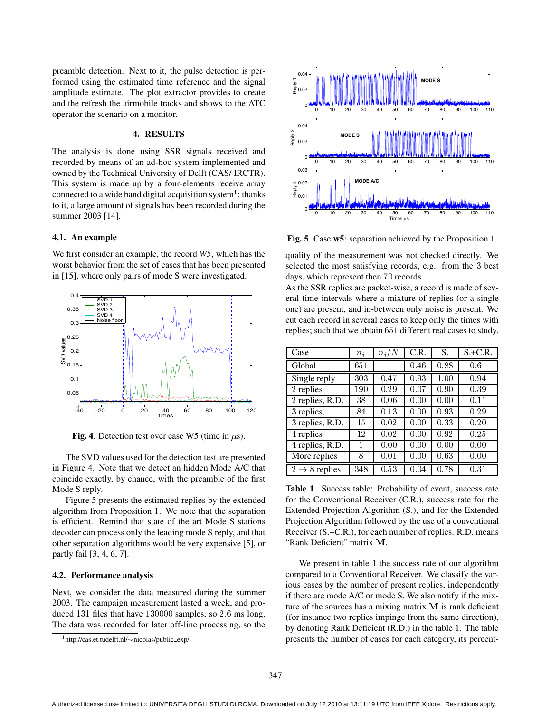preamble detection. Next to it, the pulse detection is performed using the estimated time reference and the signal amplitude estimate. The plot extractor provides to create and the refresh the airmobile tracks and shows to the ATC operator the scenario on a monitor.

# **4. RESULTS**

The analysis is done using SSR signals received and recorded by means of an ad-hoc system implemented and owned by the Technical University of Delft (CAS/ IRCTR). This system is made up by a four-elements receive array connected to a wide band digital acquisition system<sup>1</sup>; thanks to it, a large amount of signals has been recorded during the summer 2003 [14].

# **4.1. An example**

We first consider an example, the record *W5*, which has the worst behavior from the set of cases that has been presented in [15], where only pairs of mode S were investigated.



Fig. 4. Detection test over case W5 (time in  $\mu$ s).

The SVD values used for the detection test are presented in Figure 4. Note that we detect an hidden Mode A/C that coincide exactly, by chance, with the preamble of the first Mode S reply.

Figure 5 presents the estimated replies by the extended algorithm from Proposition 1. We note that the separation is efficient. Remind that state of the art Mode S stations decoder can process only the leading mode S reply, and that other separation algorithms would be very expensive [5], or partly fail [3, 4, 6, 7].

#### **4.2. Performance analysis**

Next, we consider the data measured during the summer 2003. The campaign measurement lasted a week, and produced  $131$  files that have  $130000$  samples, so  $2.6$  ms long. The data was recorded for later off-line processing, so the



**Fig. 5**. Case **w5**: separation achieved by the Proposition 1.

quality of the measurement was not checked directly. We selected the most satisfying records, e.g. from the 3 best days, which represent then 70 records.

As the SSR replies are packet-wise, a record is made of several time intervals where a mixture of replies (or a single one) are present, and in-between only noise is present. We cut each record in several cases to keep only the times with replies; such that we obtain 651 different real cases to study.

| Case                         | $n_i$ | $n_i/N$ | C.R. | S.   | $S.+C.R.$ |
|------------------------------|-------|---------|------|------|-----------|
| Global                       | 651   | 1       | 0.46 | 0.88 | 0.61      |
| Single reply                 | 303   | 0.47    | 0.93 | 1.00 | 0.94      |
| 2 replies                    | 190   | 0.29    | 0.07 | 0.90 | 0.39      |
| 2 replies, R.D.              | 38    | 0.06    | 0.00 | 0.00 | 0.11      |
| 3 replies,                   | 84    | 0.13    | 0.00 | 0.93 | 0.29      |
| $\overline{3}$ replies, R.D. | 15    | 0.02    | 0.00 | 0.33 | 0.20      |
| 4 replies                    | 12    | 0.02    | 0.00 | 0.92 | 0.25      |
| 4 replies, R.D.              |       | 0.00    | 0.00 | 0.00 | 0.00      |
| More replies                 | 8     | 0.01    | 0.00 | 0.63 | 0.00      |
| $2 \rightarrow 8$ replies    | 348   | 0.53    | 0.04 | 0.78 | 0.31      |

**Table 1**. Success table: Probability of event, success rate for the Conventional Receiver (C.R.), success rate for the Extended Projection Algorithm (S.), and for the Extended Projection Algorithm followed by the use of a conventional Receiver (S.+C.R.), for each number of replies. R.D. means "Rank Deficient" matrix M.

We present in table 1 the success rate of our algorithm compared to a Conventional Receiver. We classify the various cases by the number of present replies, independently if there are mode A/C or mode S. We also notify if the mixture of the sources has a mixing matrix  $M$  is rank deficient (for instance two replies impinge from the same direction), by denoting Rank Deficient (R.D.) in the table 1. The table presents the number of cases for each category, its percent-

 $1$ http://cas.et.tudelft.nl/ $\sim$ nicolas/public\_exp/